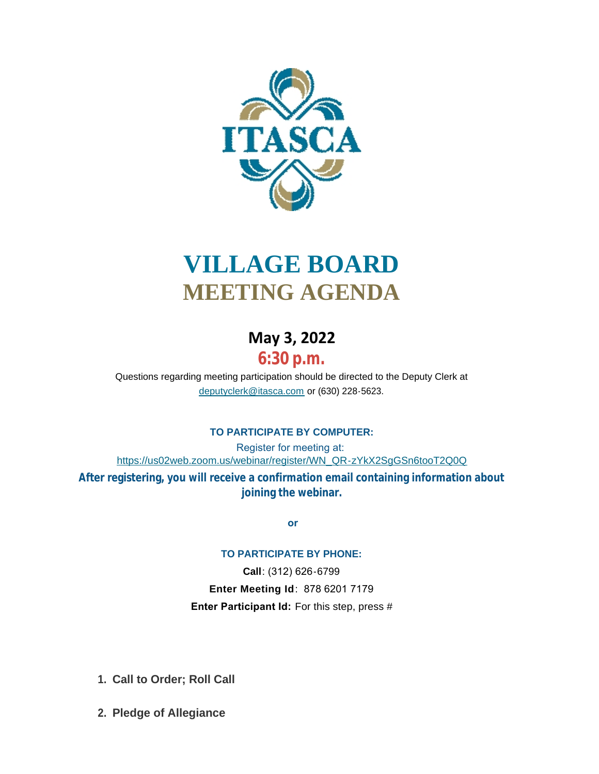

# **VILLAGE BOARD MEETING AGENDA**

## **May 3, 2022**

# **6:30 p.m.**

[Questions regarding meeting participation sho](mailto:deputyclerk@itasca.com)uld be directed to the Deputy Clerk at deputyclerk@itasca.com or (630) 228-5623.

### **TO PARTICIPATE BY COMPUTER:**

Register for meeting at: [https://us02web.zoom.us/webinar/register/WN\\_QR-zYkX2SgGSn6tooT2Q0Q](https://us02web.zoom.us/webinar/register/WN_QR-zYkX2SgGSn6tooT2Q0Q) **After registering, you will receive a confirmation email containing information about joining the webinar.**

 **or**

### **TO PARTICIPATE BY PHONE:**

**Call**: (312) 626-6799 **Enter Meeting Id**: 878 6201 7179 **Enter Participant Id:** For this step, press #

- **Call to Order; Roll Call 1.**
- **Pledge of Allegiance 2.**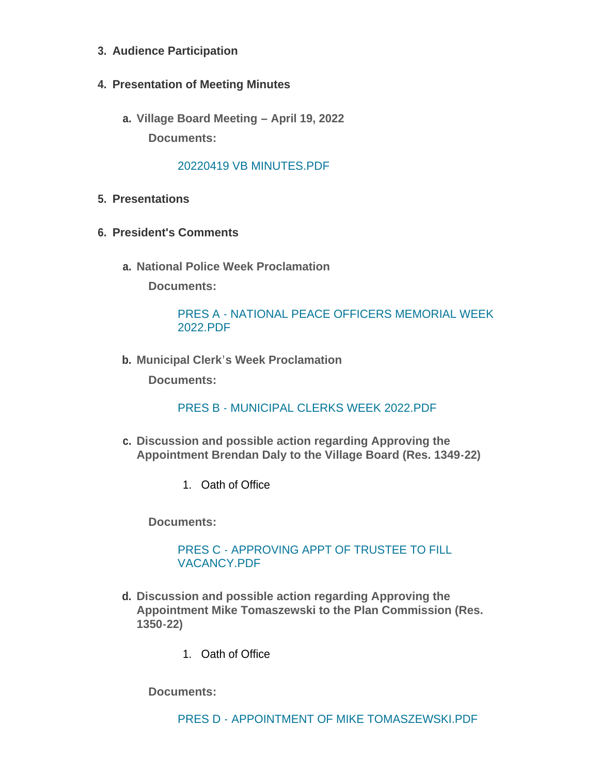- **Audience Participation 3.**
- **Presentation of Meeting Minutes 4.**
	- **Village Board Meeting – April 19, 2022 a. Documents:**

#### [20220419 VB MINUTES.PDF](http://www.itasca.com/AgendaCenter/ViewFile/Item/7669?fileID=9486)

- **Presentations 5.**
- **President's Comments 6.**
	- **National Police Week Proclamation a.**

**Documents:**

#### PRES A - [NATIONAL PEACE OFFICERS MEMORIAL WEEK](http://www.itasca.com/AgendaCenter/ViewFile/Item/7670?fileID=9487)  2022.PDF

**Municipal Clerk's Week Proclamation b.**

**Documents:**

#### PRES B - [MUNICIPAL CLERKS WEEK 2022.PDF](http://www.itasca.com/AgendaCenter/ViewFile/Item/7671?fileID=9488)

- **Discussion and possible action regarding Approving the c. Appointment Brendan Daly to the Village Board (Res. 1349-22)**
	- 1. Oath of Office

**Documents:**

#### PRES C - [APPROVING APPT OF TRUSTEE TO FILL](http://www.itasca.com/AgendaCenter/ViewFile/Item/7672?fileID=9489)  VACANCY.PDF

- **Discussion and possible action regarding Approving the d. Appointment Mike Tomaszewski to the Plan Commission (Res. 1350-22)**
	- 1. Oath of Office

**Documents:**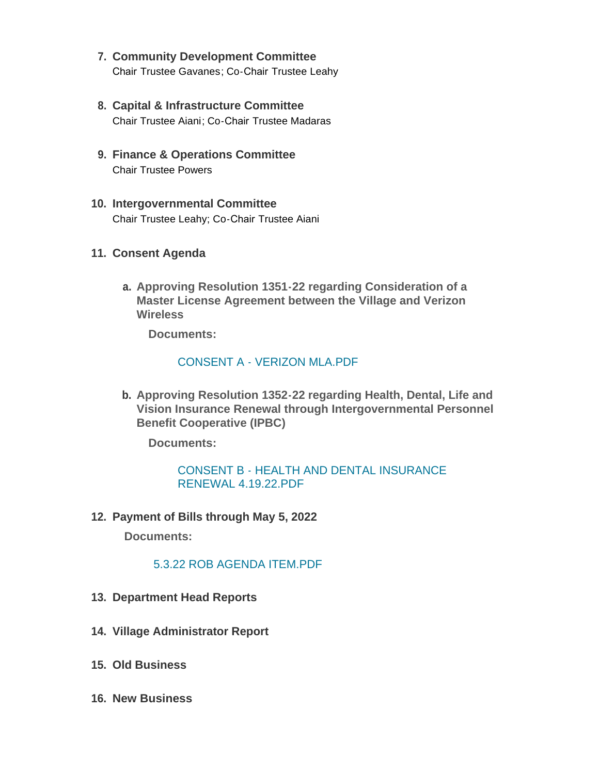- **Community Development Committee 7.** Chair Trustee Gavanes; Co-Chair Trustee Leahy
- **Capital & Infrastructure Committee 8.** Chair Trustee Aiani; Co-Chair Trustee Madaras
- **Finance & Operations Committee 9.** Chair Trustee Powers
- **Intergovernmental Committee 10.** Chair Trustee Leahy; Co-Chair Trustee Aiani
- **Consent Agenda 11.**
	- **Approving Resolution 1351-22 regarding Consideration of a a. Master License Agreement between the Village and Verizon Wireless**

**Documents:**

#### [CONSENT A - VERIZON MLA.PDF](http://www.itasca.com/AgendaCenter/ViewFile/Item/7674?fileID=9491)

**Approving Resolution 1352-22 regarding Health, Dental, Life and b. Vision Insurance Renewal through Intergovernmental Personnel Benefit Cooperative (IPBC)**

**Documents:**

#### [CONSENT B - HEALTH AND DENTAL INSURANCE](http://www.itasca.com/AgendaCenter/ViewFile/Item/7694?fileID=9494)  RENEWAL 4.19.22.PDF

**Payment of Bills through May 5, 2022 12.**

**Documents:**

#### [5.3.22 ROB AGENDA ITEM.PDF](http://www.itasca.com/AgendaCenter/ViewFile/Item/7676?fileID=9493)

- **13. Department Head Reports**
- **Village Administrator Report 14.**
- **Old Business 15.**
- **New Business 16.**